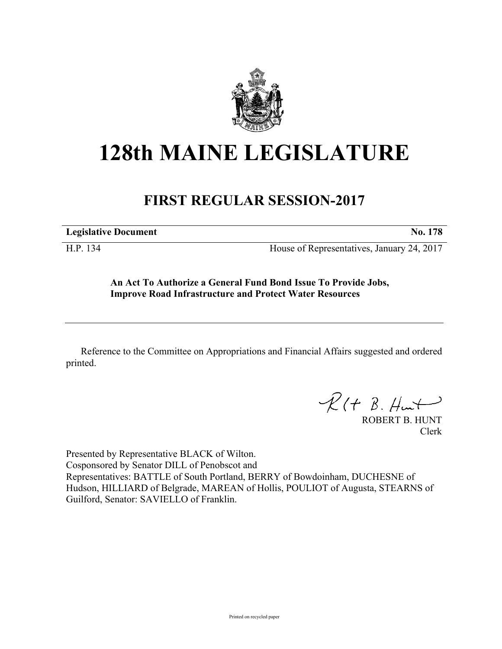

## **128th MAINE LEGISLATURE**

## **FIRST REGULAR SESSION-2017**

**Legislative Document No. 178**

H.P. 134 House of Representatives, January 24, 2017

**An Act To Authorize a General Fund Bond Issue To Provide Jobs, Improve Road Infrastructure and Protect Water Resources**

Reference to the Committee on Appropriations and Financial Affairs suggested and ordered printed.

 $R(H B. H<sub>un</sub>+)$ 

ROBERT B. HUNT Clerk

Presented by Representative BLACK of Wilton. Cosponsored by Senator DILL of Penobscot and Representatives: BATTLE of South Portland, BERRY of Bowdoinham, DUCHESNE of Hudson, HILLIARD of Belgrade, MAREAN of Hollis, POULIOT of Augusta, STEARNS of Guilford, Senator: SAVIELLO of Franklin.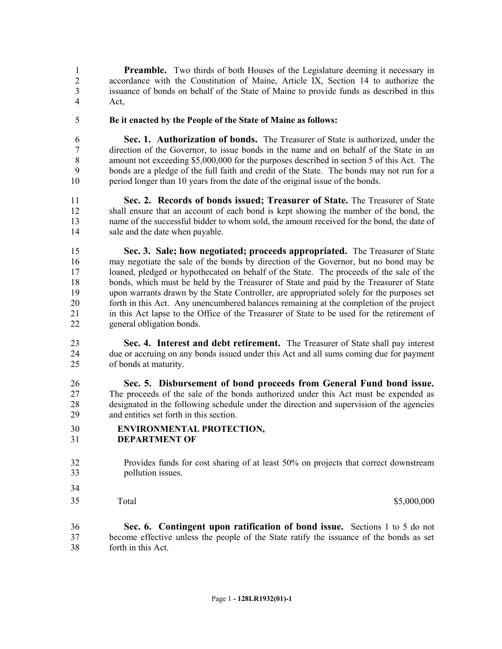**Preamble.** Two thirds of both Houses of the Legislature deeming it necessary in accordance with the Constitution of Maine, Article IX, Section 14 to authorize the issuance of bonds on behalf of the State of Maine to provide funds as described in this Act,

**Be it enacted by the People of the State of Maine as follows:**

 **Sec. 1. Authorization of bonds.** The Treasurer of State is authorized, under the direction of the Governor, to issue bonds in the name and on behalf of the State in an amount not exceeding \$5,000,000 for the purposes described in section 5 of this Act. The bonds are a pledge of the full faith and credit of the State. The bonds may not run for a period longer than 10 years from the date of the original issue of the bonds.

 **Sec. 2. Records of bonds issued; Treasurer of State.** The Treasurer of State shall ensure that an account of each bond is kept showing the number of the bond, the name of the successful bidder to whom sold, the amount received for the bond, the date of sale and the date when payable.

 **Sec. 3. Sale; how negotiated; proceeds appropriated.** The Treasurer of State may negotiate the sale of the bonds by direction of the Governor, but no bond may be loaned, pledged or hypothecated on behalf of the State. The proceeds of the sale of the bonds, which must be held by the Treasurer of State and paid by the Treasurer of State upon warrants drawn by the State Controller, are appropriated solely for the purposes set forth in this Act. Any unencumbered balances remaining at the completion of the project in this Act lapse to the Office of the Treasurer of State to be used for the retirement of general obligation bonds.

 **Sec. 4. Interest and debt retirement.** The Treasurer of State shall pay interest due or accruing on any bonds issued under this Act and all sums coming due for payment of bonds at maturity.

 **Sec. 5. Disbursement of bond proceeds from General Fund bond issue.**  The proceeds of the sale of the bonds authorized under this Act must be expended as designated in the following schedule under the direction and supervision of the agencies and entities set forth in this section.

- **ENVIRONMENTAL PROTECTION,**
- **DEPARTMENT OF**

- Provides funds for cost sharing of at least 50% on projects that correct downstream pollution issues.
- Total \$5,000,000 \$5,000,000 \$5,000,000 \$5,000,000 \$5,000,000 \$5,000 \$5,000 \$5,000 \$5,000 \$5,000 \$1,000 \$1,000 \$1,000 \$1,000 \$1,000 \$1,000 \$1,000 \$1,000 \$1,000 \$1,000 \$1,000 \$1,000 \$1,000 \$1,000 \$1,000 \$1,000 \$1,000 \$1,000

 **Sec. 6. Contingent upon ratification of bond issue.** Sections 1 to 5 do not become effective unless the people of the State ratify the issuance of the bonds as set forth in this Act.